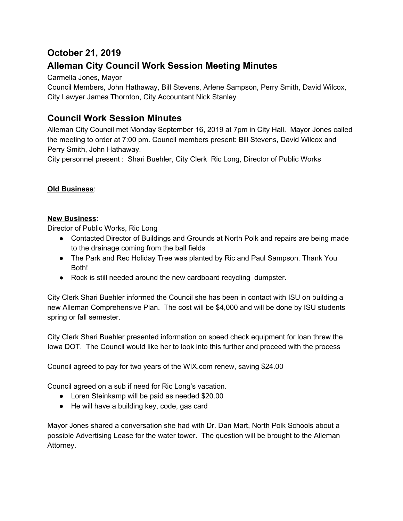# **October 21, 2019 Alleman City Council Work Session Meeting Minutes**

Carmella Jones, Mayor

Council Members, John Hathaway, Bill Stevens, Arlene Sampson, Perry Smith, David Wilcox, City Lawyer James Thornton, City Accountant Nick Stanley

## **Council Work Session Minutes**

Alleman City Council met Monday September 16, 2019 at 7pm in City Hall. Mayor Jones called the meeting to order at 7:00 pm. Council members present: Bill Stevens, David Wilcox and Perry Smith, John Hathaway.

City personnel present : Shari Buehler, City Clerk Ric Long, Director of Public Works

### **Old Business**:

#### **New Business**:

Director of Public Works, Ric Long

- Contacted Director of Buildings and Grounds at North Polk and repairs are being made to the drainage coming from the ball fields
- The Park and Rec Holiday Tree was planted by Ric and Paul Sampson. Thank You Both!
- Rock is still needed around the new cardboard recycling dumpster.

City Clerk Shari Buehler informed the Council she has been in contact with ISU on building a new Alleman Comprehensive Plan. The cost will be \$4,000 and will be done by ISU students spring or fall semester.

City Clerk Shari Buehler presented information on speed check equipment for loan threw the Iowa DOT. The Council would like her to look into this further and proceed with the process

Council agreed to pay for two years of the WIX.com renew, saving \$24.00

Council agreed on a sub if need for Ric Long's vacation.

- Loren Steinkamp will be paid as needed \$20.00
- He will have a building key, code, gas card

Mayor Jones shared a conversation she had with Dr. Dan Mart, North Polk Schools about a possible Advertising Lease for the water tower. The question will be brought to the Alleman Attorney.